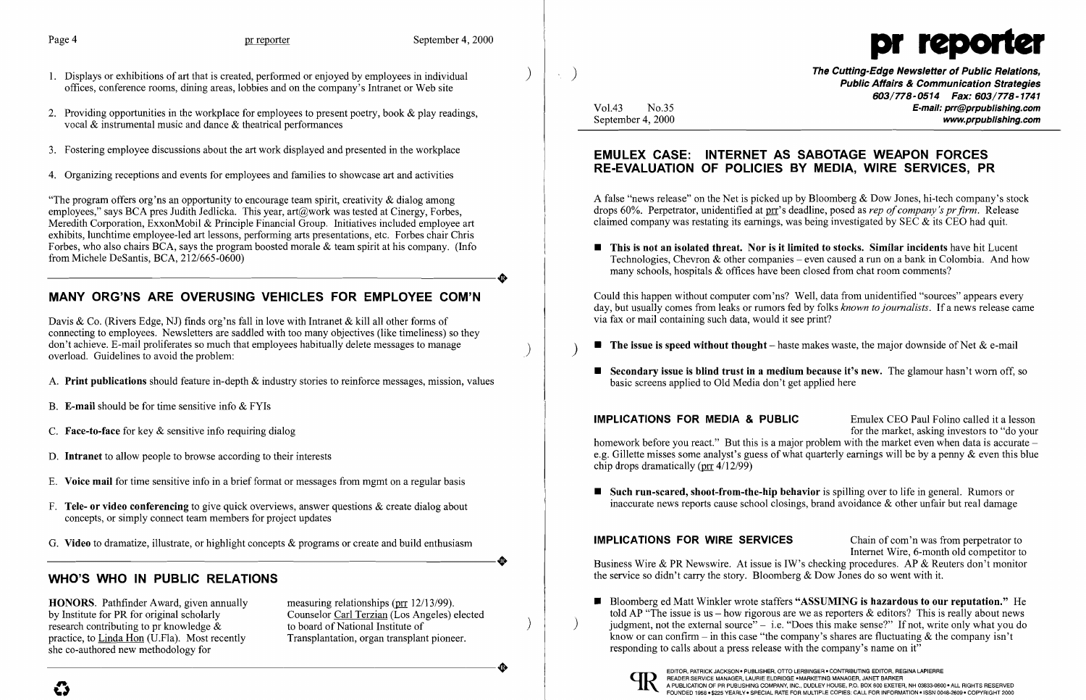$\boldsymbol{\mathcal{G}}$ 

- 1. Displays or exhibitions of art that is created, performed or enjoyed by employees in individual offices, conference rooms, dining areas, lobbies and on the company's Intranet or Web site
- 2. Providing opportunities in the workplace for employees to present poetry, book & play readings, vocal & instrumental music and dance & theatrical performances
- 3. Fostering employee discussions about the art work displayed and presented in the workplace
- 4. Organizing receptions and events for employees and families to showcase art and activities

"The program offers org'ns an opportunity to encourage team spirit, creativity  $\&$  dialog among employees," says BCA pres Judith Jedlicka. This year,  $art@work$  was tested at Cinergy, Forbes, Meredith Corporation, ExxonMobil & Principle Financial Group. Initiatives included employee art exhibits, lunchtime employee-led art lessons, performing arts presentations, etc. Forbes chair Chris Forbes, who also chairs BCA, says the program boosted morale & team spirit at his company. (Info from Michele DeSantis, BCA, 212/665-0600) from Michele DeSantis, BCA, 212/665-0600)

# MANY ORG'NS ARE OVERUSING VEHICLES FOR EMPLOYEE COM'N

Davis & Co. (Rivers Edge, NJ) finds org'ns fall in love with Intranet & kill all other forms of connecting to employees. Newsletters are saddled with too many objectives (like timeliness) so they don't achieve. E-mail proliferates so much that employees habitually delete messages to manage overload. Guidelines to avoid the problem:

- A. **Print publications** should feature in-depth & industry stories to reinforce messages, mission, values
- B. E-mail should be for time sensitive info  $&$  FYIs
- C. Face-to-face for key  $&$  sensitive info requiring dialog
- D. Intranet to allow people to browse according to their interests
- E. Voice mail for time sensitive info in a brief format or messages from mgmt on a regular basis
- F. Tele- or video conferencing to give quick overviews, answer questions  $\&$  create dialog about concepts, or simply connect team members for project updates
- G. Video to dramatize, illustrate, or highlight concepts & programs or create and build enthusiasm G. Video to dramatize, illustrate, or highlight concepts & programs or create and build enthusiasm

) The Cutting-Edge Newsletter of Public Relations, Public Affairs & Communication Strategies 603/778-0514 Fax: 603/778-1741 Vol.43 No.35 E-mail: prr@prpublishing.com September 4, 2000 www.prpublishing.com

 $\blacksquare$  This is not an isolated threat. Nor is it limited to stocks. Similar incidents have hit Lucent Technologies, Chevron & other companies – even caused a run on a bank in Colombia. And how

 $\blacksquare$  Secondary issue is blind trust in a medium because it's new. The glamour hasn't worn off, so

IMPLICATIONS FOR MEDIA & PUBLIC Emulex CEO Paul Folino called it a lesson for the market, asking investors to "do your homework before you react." But this is a major problem with the market even when data is accurate – e.g. Gillette misses some analyst's guess of what quarterly earnings will be by a penny & even this blue chip drops dramatically (prr 4/12/99)

 $\blacksquare$  Such run-scared, shoot-from-the-hip behavior is spilling over to life in general. Rumors or

## WHO'S WHO IN PUBLIC RELATIONS

HONORS. Pathfinder Award, given annually measuring relationships (pr 12/13/99).<br>by Institute for PR for original scholarly Counselor Carl Terzian (Los Angeles) research contributing to pr knowledge  $\&$ practice, to Linda Hon (U.Fla). Most recently Transplantation, organ transplant pioneer. she co-authored new methodology for practice, to  $\underline{\text{Linda Hom}}$  (U.Fla). Most recently<br>she co-authored new methodology for<br> $\bullet$ 

Counselor Carl Terzian (Los Angeles) elected<br>to board of National Institute of



## EMULEX CASE: INTERNET AS SABOTAGE WEAPON FORCES RE-EVALUATION OF POLICIES BY MEDIA, WIRE SERVICES, PR

A false "news release" on the Net is picked up by Bloomberg & Dow Jones, hi-tech company's stock drops 60%. Perpetrator, unidentified at prr's deadline, posed as *rep of company's pr firm.* Release claimed company was restating its earnings, was being investigated by SEC & its CEO had quit.

many schools, hospitals  $\&$  offices have been closed from chat room comments?

Could this happen without computer com 'ns? Well, data from unidentified "sources" appears every day, but usually comes from leaks or rumors fed by folks *known tojournalists.* If a news release came via fax or mail containing such data, would it see print?

**The issue is speed without thought** – haste makes waste, the major downside of Net  $\&$  e-mail

basic screens applied to Old Media don't get applied here

inaccurate news reports cause school closings, brand avoidance & other unfair but real damage

told AP "The issue is us – how rigorous are we as reporters  $\&$  editors? This is really about news ) judgment, not the external source"  $-$  i.e. "Does this make sense?" If not, write only what you do know or can confirm – in this case "the company's shares are fluctuating  $\&$  the company isn't

IMPLICATIONS FOR WIRE SERVICES Chain of com'n was from perpetrator to Internet Wire, 6-month old competitor to Business Wire & PR Newswire. At issue is IW's checking procedures. AP & Reuters don't monitor the service so didn't carry the story. Bloomberg & Dow Jones do so went with it.

■ Bloomberg ed Matt Winkler wrote staffers "ASSUMING is hazardous to our reputation." He responding to calls about a press release with the company's name on it.